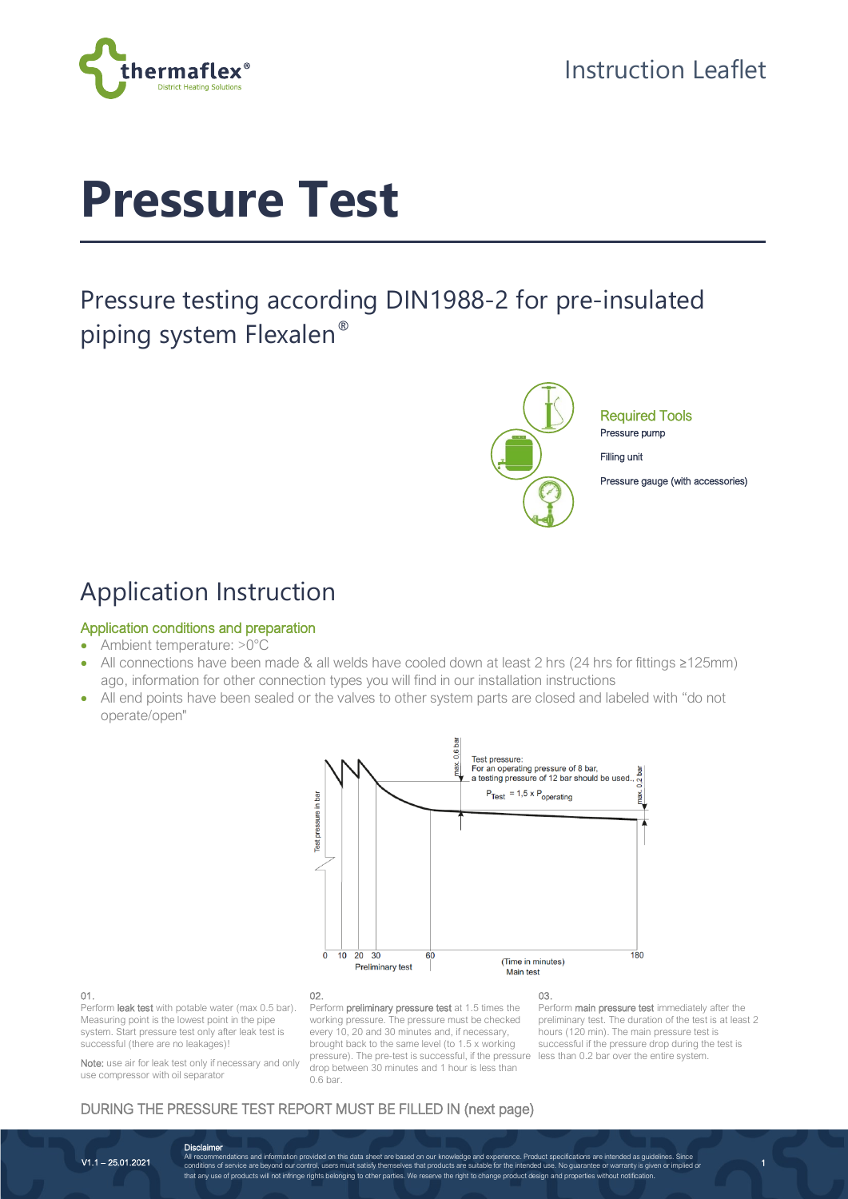

# **Pressure Test**

Pressure testing according DIN1988-2 for pre-insulated piping system Flexalen®

> Required Tools Pressure pump

Filling unit

Pressure gauge (with accessories)

## Application Instruction

#### Application conditions and preparation

- Ambient temperature: >0°C
- All connections have been made & all welds have cooled down at least 2 hrs (24 hrs for fittings ≥125mm) ago, information for other connection types you will find in our installation instructions
- All end points have been sealed or the valves to other system parts are closed and labeled with "do not operate/open"



#### 01.

Perform **leak test** with potable water (max 0.5 bar). Measuring point is the lowest point in the pipe system. Start pressure test only after leak test is successful (there are no leakages)!

Note: use air for leak test only if necessary and only use compressor with oil separator

Perform preliminary pressure test at 1.5 times the working pressure. The pressure must be checked every 10, 20 and 30 minutes and, if necessary, brought back to the same level (to 1.5 x working pressure). The pre-test is successful, if the pressure less than 0.2 bar over the entire system. drop between 30 minutes and 1 hour is less than 0.6 bar.

Perform **main pressure test** immediately after the preliminary test. The duration of the test is at least 2 hours (120 min). The main pressure test is successful if the pressure drop during the test is

1

#### DURING THE PRESSURE TEST REPORT MUST BE FILLED IN (next page)

V1.1 – 25.01.2021

**Disclaimer**<br>All recommendations and information provided on this data sheet are based on our knowledge and experience. Product specifications are intended as guidelines. Since<br>conditions of service are beyond our control, that any use of products will not infringe rights belonging to other parties. We reserve the right to change product design and properties without notification.